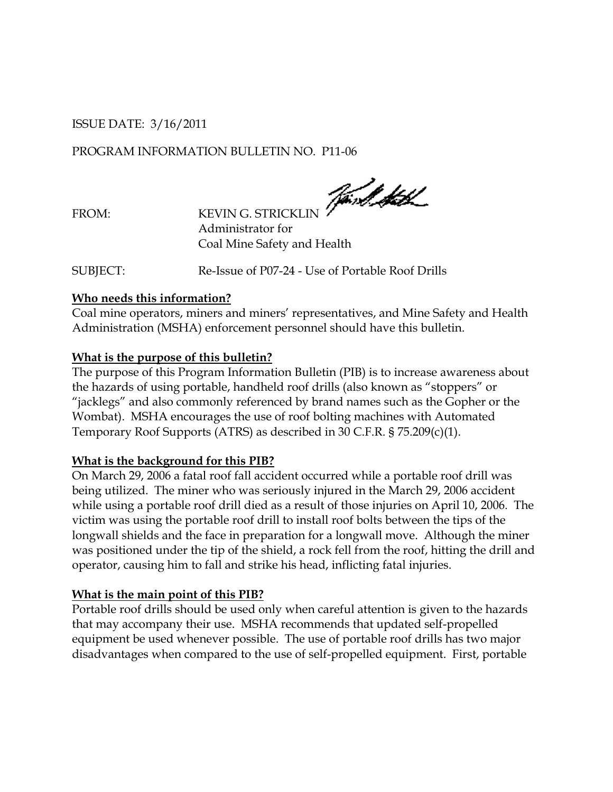#### ISSUE DATE: 3/16/2011

## PROGRAM INFORMATION BULLETIN NO. P11-06

Jørd HK

FROM: KEVIN G. STRICKLIN Administrator for Coal Mine Safety and Health

SUBJECT: Re-Issue of P07-24 - Use of Portable Roof Drills

#### **Who needs this information?**

Coal mine operators, miners and miners' representatives, and Mine Safety and Health Administration (MSHA) enforcement personnel should have this bulletin.

### **What is the purpose of this bulletin?**

The purpose of this Program Information Bulletin (PIB) is to increase awareness about the hazards of using portable, handheld roof drills (also known as "stoppers" or "jacklegs" and also commonly referenced by brand names such as the Gopher or the Wombat). MSHA encourages the use of roof bolting machines with Automated Temporary Roof Supports (ATRS) as described in 30 C.F.R. § 75.209(c)(1).

#### **What is the background for this PIB?**

On March 29, 2006 a fatal roof fall accident occurred while a portable roof drill was being utilized. The miner who was seriously injured in the March 29, 2006 accident while using a portable roof drill died as a result of those injuries on April 10, 2006. The victim was using the portable roof drill to install roof bolts between the tips of the longwall shields and the face in preparation for a longwall move. Although the miner was positioned under the tip of the shield, a rock fell from the roof, hitting the drill and operator, causing him to fall and strike his head, inflicting fatal injuries.

# **What is the main point of this PIB?**

Portable roof drills should be used only when careful attention is given to the hazards that may accompany their use. MSHA recommends that updated self-propelled equipment be used whenever possible. The use of portable roof drills has two major disadvantages when compared to the use of self-propelled equipment. First, portable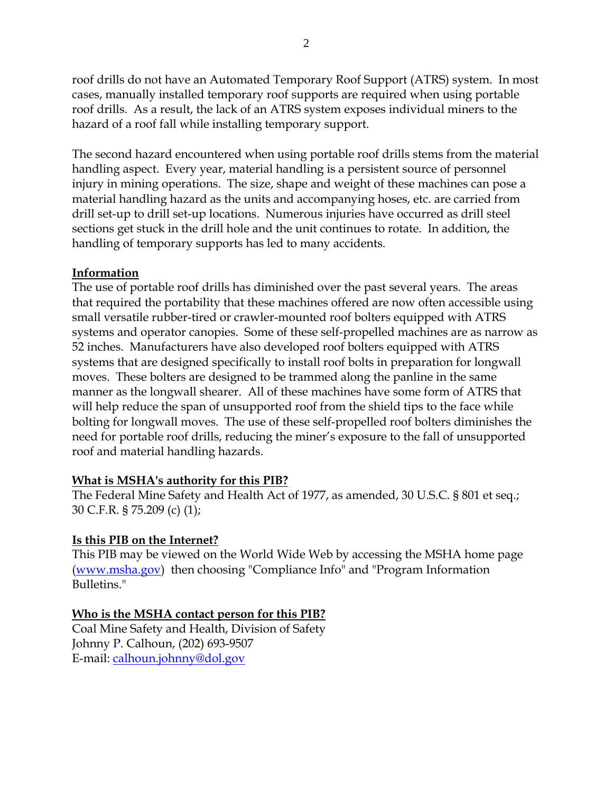roof drills do not have an Automated Temporary Roof Support (ATRS) system. In most cases, manually installed temporary roof supports are required when using portable roof drills. As a result, the lack of an ATRS system exposes individual miners to the hazard of a roof fall while installing temporary support.

The second hazard encountered when using portable roof drills stems from the material handling aspect. Every year, material handling is a persistent source of personnel injury in mining operations. The size, shape and weight of these machines can pose a material handling hazard as the units and accompanying hoses, etc. are carried from drill set-up to drill set-up locations. Numerous injuries have occurred as drill steel sections get stuck in the drill hole and the unit continues to rotate. In addition, the handling of temporary supports has led to many accidents.

### **Information**

The use of portable roof drills has diminished over the past several years. The areas that required the portability that these machines offered are now often accessible using small versatile rubber-tired or crawler-mounted roof bolters equipped with ATRS systems and operator canopies. Some of these self-propelled machines are as narrow as 52 inches. Manufacturers have also developed roof bolters equipped with ATRS systems that are designed specifically to install roof bolts in preparation for longwall moves. These bolters are designed to be trammed along the panline in the same manner as the longwall shearer. All of these machines have some form of ATRS that will help reduce the span of unsupported roof from the shield tips to the face while bolting for longwall moves. The use of these self-propelled roof bolters diminishes the need for portable roof drills, reducing the miner's exposure to the fall of unsupported roof and material handling hazards.

# **What is MSHA's authority for this PIB?**

The Federal Mine Safety and Health Act of 1977, as amended, 30 U.S.C. § 801 et seq.; 30 C.F.R. § 75.209 (c) (1);

# **Is this PIB on the Internet?**

This PIB may be viewed on the World Wide Web by accessing the MSHA home page [\(www.msha.gov\)](http://www.msha.gov/) then choosing "Compliance Info" and "Program Information Bulletins."

# **Who is the MSHA contact person for this PIB?**

Coal Mine Safety and Health, Division of Safety Johnny P. Calhoun, (202) 693-9507 E-mail: [calhoun.johnny@dol.gov](mailto:calhoun.johnny@dol.gov)